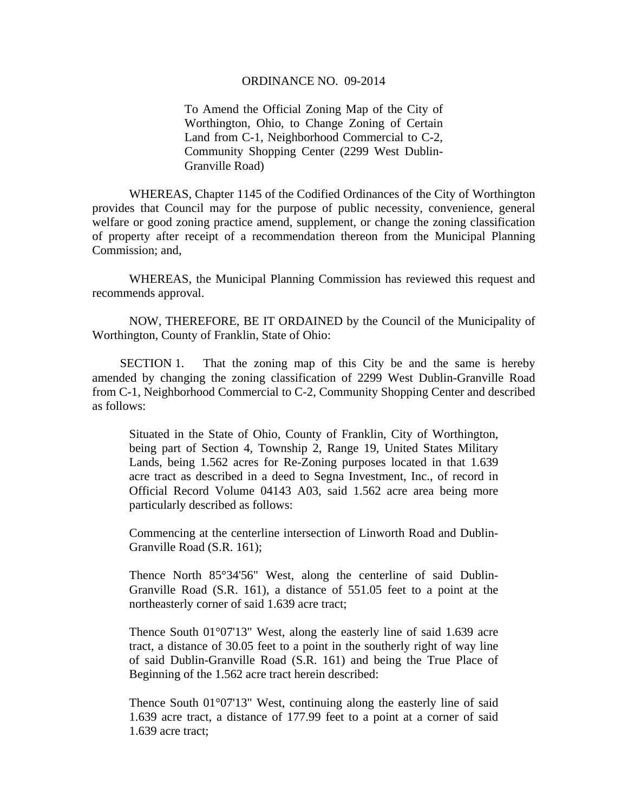## ORDINANCE NO. 09-2014

To Amend the Official Zoning Map of the City of Worthington, Ohio, to Change Zoning of Certain Land from C-1, Neighborhood Commercial to C-2, Community Shopping Center (2299 West Dublin-Granville Road)

WHEREAS, Chapter 1145 of the Codified Ordinances of the City of Worthington provides that Council may for the purpose of public necessity, convenience, general welfare or good zoning practice amend, supplement, or change the zoning classification of property after receipt of a recommendation thereon from the Municipal Planning Commission; and,

WHEREAS, the Municipal Planning Commission has reviewed this request and recommends approval.

NOW, THEREFORE, BE IT ORDAINED by the Council of the Municipality of Worthington, County of Franklin, State of Ohio:

SECTION 1. That the zoning map of this City be and the same is hereby amended by changing the zoning classification of 2299 West Dublin-Granville Road from C-1, Neighborhood Commercial to C-2, Community Shopping Center and described as follows:

Situated in the State of Ohio, County of Franklin, City of Worthington, being part of Section 4, Township 2, Range 19, United States Military Lands, being 1.562 acres for Re-Zoning purposes located in that 1.639 acre tract as described in a deed to Segna Investment, Inc., of record in Official Record Volume 04143 A03, said 1.562 acre area being more particularly described as follows:

Commencing at the centerline intersection of Linworth Road and Dublin-Granville Road (S.R. 161);

Thence North 85°34'56" West, along the centerline of said Dublin-Granville Road (S.R. 161), a distance of 551.05 feet to a point at the northeasterly corner of said 1.639 acre tract;

Thence South 01°07'13" West, along the easterly line of said 1.639 acre tract, a distance of 30.05 feet to a point in the southerly right of way line of said Dublin-Granville Road (S.R. 161) and being the True Place of Beginning of the 1.562 acre tract herein described:

Thence South 01°07'13" West, continuing along the easterly line of said 1.639 acre tract, a distance of 177.99 feet to a point at a corner of said 1.639 acre tract;